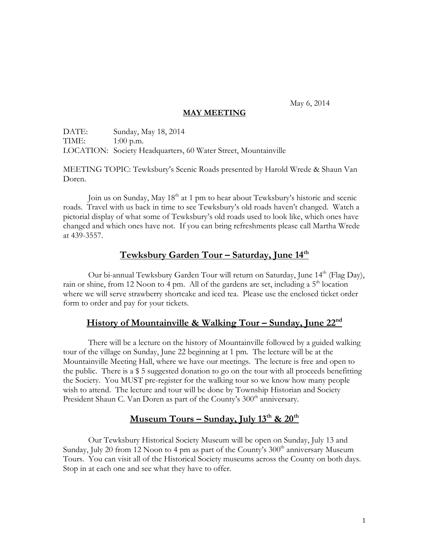May 6, 2014

### **MAY MEETING**

DATE: Sunday, May 18, 2014 TIME: 1:00 p.m. LOCATION: Society Headquarters, 60 Water Street, Mountainville

MEETING TOPIC: Tewksbury's Scenic Roads presented by Harold Wrede & Shaun Van Doren.

Join us on Sunday, May 18<sup>th</sup> at 1 pm to hear about Tewksbury's historic and scenic roads. Travel with us back in time to see Tewksbury's old roads haven't changed. Watch a pictorial display of what some of Tewksbury's old roads used to look like, which ones have changed and which ones have not. If you can bring refreshments please call Martha Wrede at 439-3557.

## **Tewksbury Garden Tour – Saturday, June 14th**

Our bi-annual Tewksbury Garden Tour will return on Saturday, June 14<sup>th</sup> (Flag Day), rain or shine, from 12 Noon to 4 pm. All of the gardens are set, including a  $5<sup>th</sup>$  location where we will serve strawberry shortcake and iced tea. Please use the enclosed ticket order form to order and pay for your tickets.

### **History of Mountainville & Walking Tour – Sunday, June 22nd**

There will be a lecture on the history of Mountainville followed by a guided walking tour of the village on Sunday, June 22 beginning at 1 pm. The lecture will be at the Mountainville Meeting Hall, where we have our meetings. The lecture is free and open to the public. There is a \$ 5 suggested donation to go on the tour with all proceeds benefitting the Society. You MUST pre-register for the walking tour so we know how many people wish to attend. The lecture and tour will be done by Township Historian and Society President Shaun C. Van Doren as part of the County's 300<sup>th</sup> anniversary.

# **Museum Tours – Sunday, July 13th & 20th**

Our Tewksbury Historical Society Museum will be open on Sunday, July 13 and Sunday, July 20 from 12 Noon to 4 pm as part of the County's  $300<sup>th</sup>$  anniversary Museum Tours. You can visit all of the Historical Society museums across the County on both days. Stop in at each one and see what they have to offer.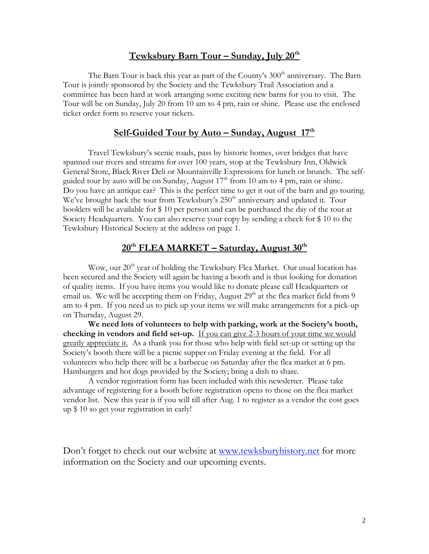### **Tewksbury Barn Tour – Sunday, July 20th**

The Barn Tour is back this year as part of the County's  $300<sup>th</sup>$  anniversary. The Barn Tour is jointly sponsored by the Society and the Tewksbury Trail Association and a committee has been hard at work arranging some exciting new barns for you to visit. The Tour will be on Sunday, July 20 from 10 am to 4 pm, rain or shine. Please use the enclosed ticket order form to reserve your tickets.

# **Self-Guided Tour by Auto – Sunday, August 17th**

Travel Tewksbury's scenic roads, pass by historic homes, over bridges that have spanned our rivers and streams for over 100 years, stop at the Tewksbury Inn, Oldwick General Store, Black River Deli or Mountainville Expressions for lunch or brunch. The selfguided tour by auto will be on Sunday, August  $17<sup>th</sup>$  from 10 am to 4 pm, rain or shine. Do you have an antique car? This is the perfect time to get it out of the barn and go touring. We've brought back the tour from Tewksbury's  $250<sup>th</sup>$  anniversary and updated it. Tour booklets will be available for \$ 10 per person and can be purchased the day of the tour at Society Headquarters. You can also reserve your copy by sending a check for \$ 10 to the Tewksbury Historical Society at the address on page 1.

# **20th FLEA MARKET – Saturday, August 30 th**

Wow, our  $20<sup>th</sup>$  year of holding the Tewksbury Flea Market. Our usual location has been secured and the Society will again be having a booth and is thus looking for donation of quality items. If you have items you would like to donate please call Headquarters or email us. We will be accepting them on Friday, August  $29<sup>th</sup>$  at the flea market field from 9 am to 4 pm. If you need us to pick up your items we will make arrangements for a pick-up on Thursday, August 29.

**We need lots of volunteers to help with parking, work at the Society's booth, checking in vendors and field set-up.** If you can give 2-3 hours of your time we would greatly appreciate it. As a thank you for those who help with field set-up or setting up the Society's booth there will be a picnic supper on Friday evening at the field. For all volunteers who help there will be a barbecue on Saturday after the flea market at 6 pm. Hamburgers and hot dogs provided by the Society; bring a dish to share.

A vendor registration form has been included with this newsletter. Please take advantage of registering for a booth before registration opens to those on the flea market vendor list. New this year is if you will till after Aug. 1 to register as a vendor the cost goes up \$ 10 so get your registration in early!

Don't forget to check out our website at [www.tewksburyhistory.net](http://www.tewksburyhistory.net/) for more information on the Society and our upcoming events.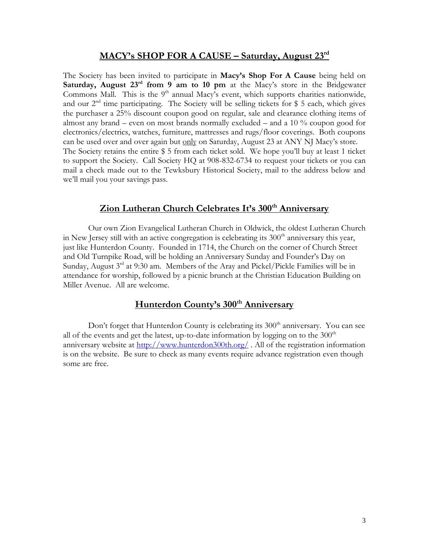#### **MACY's SHOP FOR A CAUSE – Saturday, August 23rd**

The Society has been invited to participate in **Macy's Shop For A Cause** being held on **Saturday, August 23rd from 9 am to 10 pm** at the Macy's store in the Bridgewater Commons Mall. This is the  $9<sup>th</sup>$  annual Macy's event, which supports charities nationwide, and our  $2<sup>nd</sup>$  time participating. The Society will be selling tickets for \$ 5 each, which gives the purchaser a 25% discount coupon good on regular, sale and clearance clothing items of almost any brand – even on most brands normally excluded – and a 10 % coupon good for electronics/electrics, watches, furniture, mattresses and rugs/floor coverings. Both coupons can be used over and over again but only on Saturday, August 23 at ANY NJ Macy's store. The Society retains the entire \$ 5 from each ticket sold. We hope you'll buy at least 1 ticket to support the Society. Call Society HQ at 908-832-6734 to request your tickets or you can mail a check made out to the Tewksbury Historical Society, mail to the address below and we'll mail you your savings pass.

# **Zion Lutheran Church Celebrates It's 300th Anniversary**

Our own Zion Evangelical Lutheran Church in Oldwick, the oldest Lutheran Church in New Jersey still with an active congregation is celebrating its  $300<sup>th</sup>$  anniversary this year, just like Hunterdon County. Founded in 1714, the Church on the corner of Church Street and Old Turnpike Road, will be holding an Anniversary Sunday and Founder's Day on Sunday, August  $3<sup>rd</sup>$  at 9:30 am. Members of the Aray and Pickel/Pickle Families will be in attendance for worship, followed by a picnic brunch at the Christian Education Building on Miller Avenue. All are welcome.

### **Hunterdon County's 300th Anniversary**

Don't forget that Hunterdon County is celebrating its 300<sup>th</sup> anniversary. You can see all of the events and get the latest, up-to-date information by logging on to the  $300<sup>th</sup>$ anniversary website at<http://www.hunterdon300th.org/> . All of the registration information is on the website. Be sure to check as many events require advance registration even though some are free.